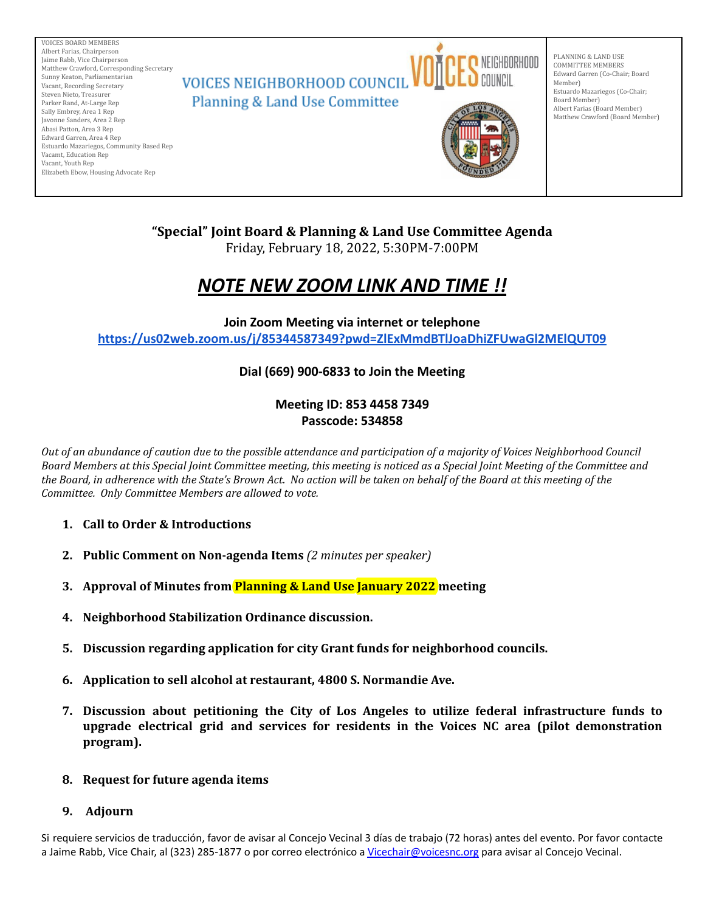

# **"Special" Joint Board & Planning & Land Use Committee Agenda**

Friday, February 18, 2022, 5:30PM-7:00PM

# *NOTE NEW ZOOM LINK AND TIME !!*

**Join Zoom Meeting via internet or telephone <https://us02web.zoom.us/j/85344587349?pwd=ZlExMmdBTlJoaDhiZFUwaGl2MElQUT09>**

# **Dial (669) 900-6833 to Join the Meeting**

# **Meeting ID: 853 4458 7349 Passcode: 534858**

*Out of an abundance of caution due to the possible attendance and participation of a majority of Voices Neighborhood Council Board Members at this Special Joint Committee meeting, this meeting is noticed as a Special Joint Meeting of the Committee and the Board, in adherence with the State's Brown Act. No action will be taken on behalf of the Board at this meeting of the Committee. Only Committee Members are allowed to vote.*

- **1. Call to Order & Introductions**
- **2. Public Comment on Non-agenda Items** *(2 minutes per speaker)*
- **3. Approval of Minutes from Planning & Land Use January 2022 meeting**
- **4. Neighborhood Stabilization Ordinance discussion.**
- **5. Discussion regarding application for city Grant funds for neighborhood councils.**
- **6. Application to sell alcohol at restaurant, 4800 S. Normandie Ave.**
- **7. Discussion about petitioning the City of Los Angeles to utilize federal infrastructure funds to upgrade electrical grid and services for residents in the Voices NC area (pilot demonstration program).**

## **8. Request for future agenda items**

## **9. Adjourn**

Si requiere servicios de traducción, favor de avisar al Concejo Vecinal 3 días de trabajo (72 horas) antes del evento. Por favor contacte a Jaime Rabb, Vice Chair, al (323) 285-1877 o por correo electrónico a [Vicechair@voicesnc.org](mailto:VNCCorrSec18@gmail.com) para avisar al Concejo Vecinal.